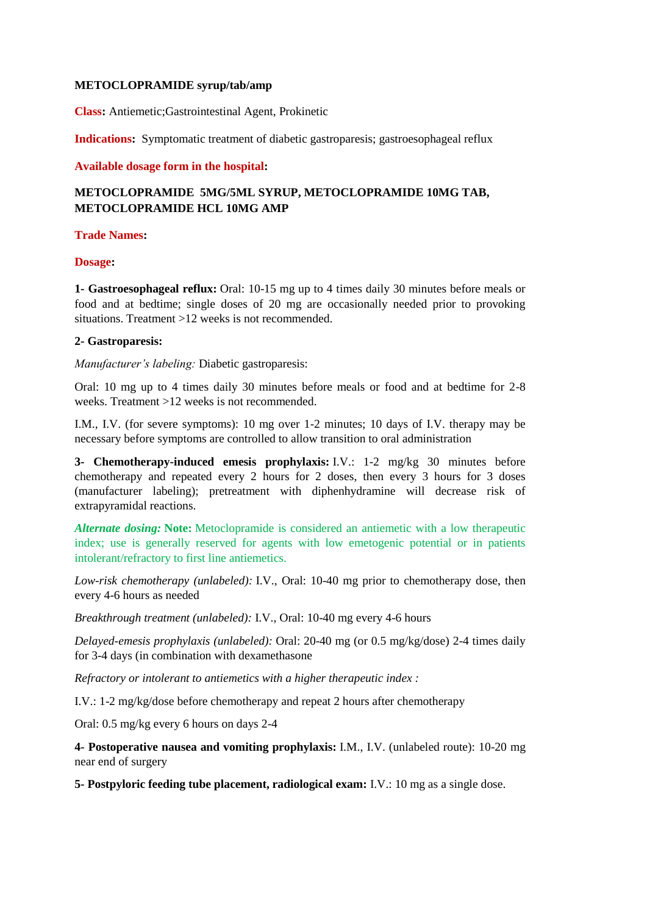### **METOCLOPRAMIDE syrup/tab/amp**

**Class:** Antiemetic;Gastrointestinal Agent, Prokinetic

**Indications:** Symptomatic treatment of diabetic gastroparesis; gastroesophageal reflux

#### **Available dosage form in the hospital:**

# **METOCLOPRAMIDE 5MG/5ML SYRUP, METOCLOPRAMIDE 10MG TAB, METOCLOPRAMIDE HCL 10MG AMP**

### **Trade Names:**

#### **Dosage:**

**1- Gastroesophageal reflux:** Oral: 10-15 mg up to 4 times daily 30 minutes before meals or food and at bedtime; single doses of 20 mg are occasionally needed prior to provoking situations. Treatment >12 weeks is not recommended.

# **2- Gastroparesis:**

*Manufacturer's labeling:* Diabetic gastroparesis:

Oral: 10 mg up to 4 times daily 30 minutes before meals or food and at bedtime for 2-8 weeks. Treatment >12 weeks is not recommended.

I.M., I.V. (for severe symptoms): 10 mg over 1-2 minutes; 10 days of I.V. therapy may be necessary before symptoms are controlled to allow transition to oral administration

**3- Chemotherapy-induced emesis prophylaxis:** I.V.: 1-2 mg/kg 30 minutes before chemotherapy and repeated every 2 hours for 2 doses, then every 3 hours for 3 doses (manufacturer labeling); pretreatment with diphenhydramine will decrease risk of extrapyramidal reactions.

*Alternate dosing:* **Note:** Metoclopramide is considered an antiemetic with a low therapeutic index; use is generally reserved for agents with low emetogenic potential or in patients intolerant/refractory to first line antiemetics.

*Low-risk chemotherapy (unlabeled):* I.V., Oral: 10-40 mg prior to chemotherapy dose, then every 4-6 hours as needed

*Breakthrough treatment (unlabeled):* I.V., Oral: 10-40 mg every 4-6 hours

*Delayed-emesis prophylaxis (unlabeled):* Oral: 20-40 mg (or 0.5 mg/kg/dose) 2-4 times daily for 3-4 days (in combination with dexamethasone

*Refractory or intolerant to antiemetics with a higher therapeutic index :*

I.V.: 1-2 mg/kg/dose before chemotherapy and repeat 2 hours after chemotherapy

Oral: 0.5 mg/kg every 6 hours on days 2-4

**4- Postoperative nausea and vomiting prophylaxis:** I.M., I.V. (unlabeled route): 10-20 mg near end of surgery

**5- Postpyloric feeding tube placement, radiological exam:** I.V.: 10 mg as a single dose.